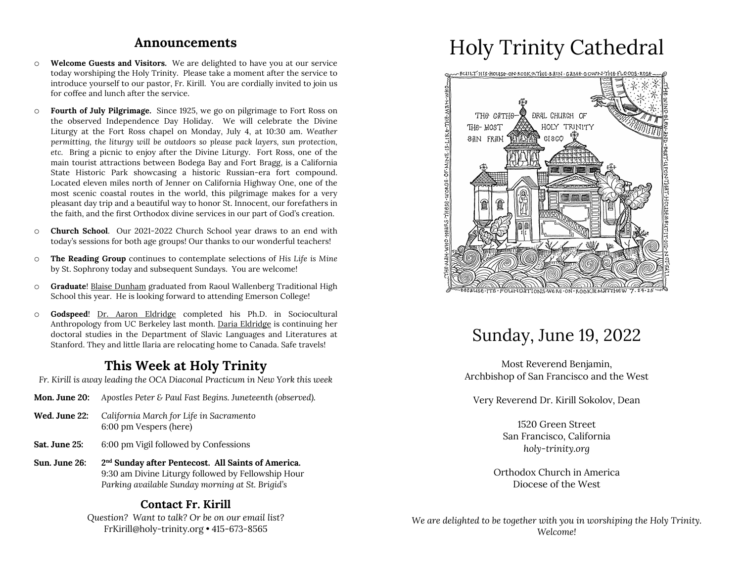#### **Announcements**

- o **Welcome Guests and Visitors.** We are delighted to have you at our service today worshiping the Holy Trinity. Please take a moment after the service to introduce yourself to our pastor, Fr. Kirill. You are cordially invited to join us for coffee and lunch after the service.
- o **Fourth of July Pilgrimage.** Since 1925, we go on pilgrimage to Fort Ross on the observed Independence Day Holiday. We will celebrate the Divine Liturgy at the Fort Ross chapel on Monday, July 4, at 10:30 am. *Weather permitting, the liturgy will be outdoors so please pack layers, sun protection, etc.* Bring a picnic to enjoy after the Divine Liturgy. Fort Ross, one of the main tourist attractions between Bodega Bay and Fort Bragg, is a California State Historic Park showcasing a historic Russian-era fort compound. Located eleven miles north of Jenner on California Highway One, one of the most scenic coastal routes in the world, this pilgrimage makes for a very pleasant day trip and a beautiful way to honor St. Innocent, our forefathers in the faith, and the first Orthodox divine services in our part of God's creation.
- o **Church School**. Our 2021-2022 Church School year draws to an end with today's sessions for both age groups! Our thanks to our wonderful teachers!
- o **The Reading Group** continues to contemplate selections of *His Life is Mine*  by St. Sophrony today and subsequent Sundays. You are welcome!
- o **Graduate**! Blaise Dunham graduated from Raoul Wallenberg Traditional High School this year. He is looking forward to attending Emerson College!
- o **Godspeed**! Dr. Aaron Eldridge completed his Ph.D. in Sociocultural Anthropology from UC Berkeley last month. Daria Eldridge is continuing her doctoral studies in the Department of Slavic Languages and Literatures at Stanford. They and little Ilaria are relocating home to Canada. Safe travels!

### **This Week at Holy Trinity**

*Fr. Kirill is away leading the OCA Diaconal Practicum in New York this week*

- **Mon. June 20:** *Apostles Peter & Paul Fast Begins. Juneteenth (observed).*
- **Wed. June 22:** *California March for Life in Sacramento* 6:00 pm Vespers (here)
- **Sat. June 25:** 6:00 pm Vigil followed by Confessions
- **Sun. June 26: 2nd Sunday after Pentecost. All Saints of America.** 9:30 am Divine Liturgy followed by Fellowship Hour *Parking available Sunday morning at St. Brigid's*

### **Contact Fr. Kirill**

*Question? Want to talk? Or be on our email list?* FrKirill@holy-trinity.org • 415-673-8565

# Holy Trinity Cathedral



## Sunday, June 19, 2022

Most Reverend Benjamin, Archbishop of San Francisco and the West

Very Reverend Dr. Kirill Sokolov, Dean

1520 Green Street San Francisco, California *holy-trinity.org*

Orthodox Church in America Diocese of the West

*We are delighted to be together with you in worshiping the Holy Trinity. Welcome!*